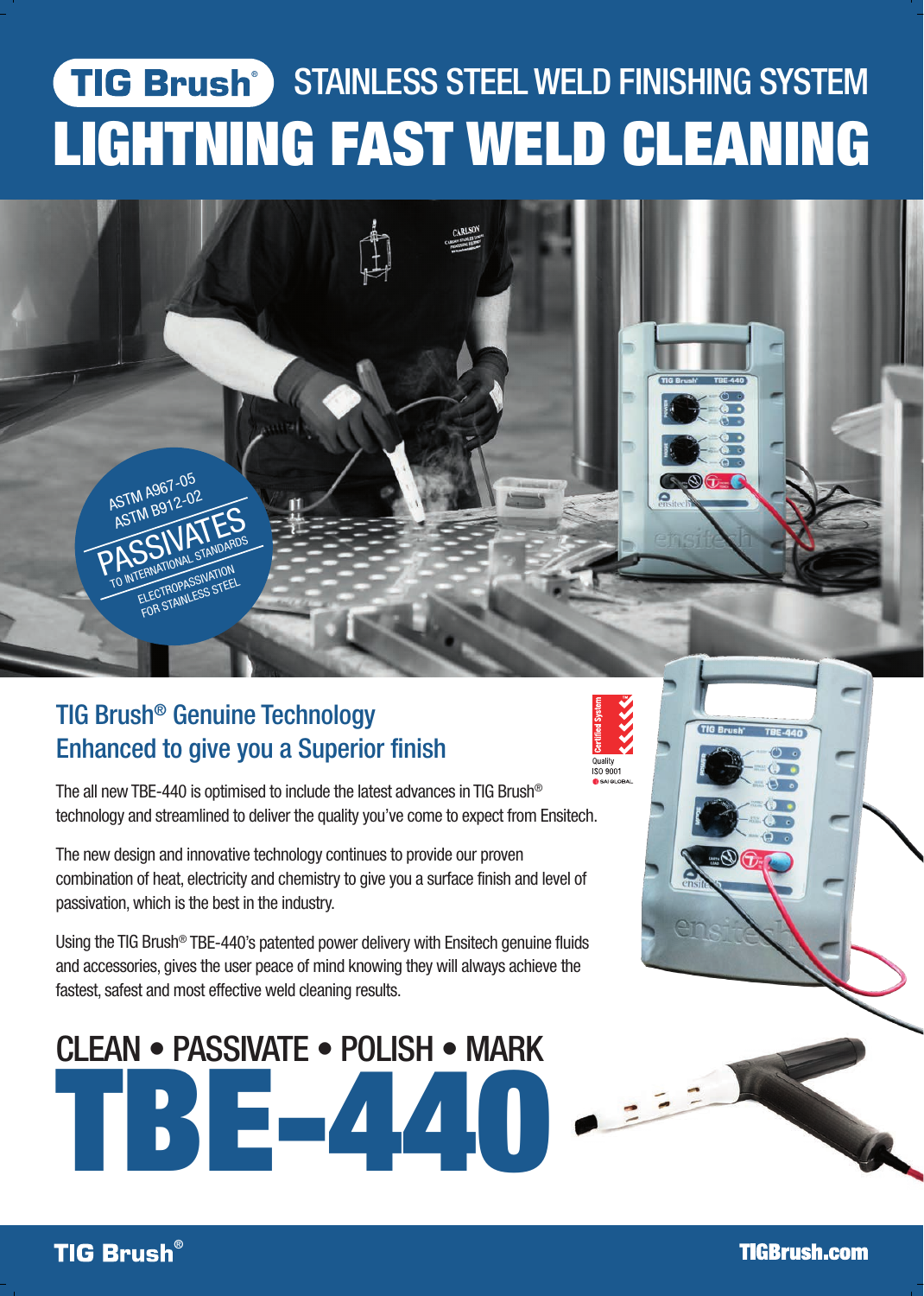# **STAINLESS STEEL WELD FINISHING SYSTEM** LIGHTNING FAST WELD CLEANING

**Quality** 

## TIG Brush® Genuine Technology Enhanced to give you a Superior finish

**ASTM A967-05** ASTM B912-02

ASTM B91- ATTES TO INTERNATIONAL STANDARDS ERNATION<br>ELECTROPASSIVATION ELECTROPASSIVATEL

The all new TBE-440 is optimised to include the latest advances in TIG Brush® technology and streamlined to deliver the quality you've come to expect from Ensitech.

The new design and innovative technology continues to provide our proven combination of heat, electricity and chemistry to give you a surface finish and level of passivation, which is the best in the industry.

Using the TIG Brush® TBE-440's patented power delivery with Ensitech genuine fluids and accessories, gives the user peace of mind knowing they will always achieve the fastest, safest and most effective weld cleaning results.

# TBE-440 CLEAN • PASSIVATE • POLISH • MARK



**TIGBrush.com**